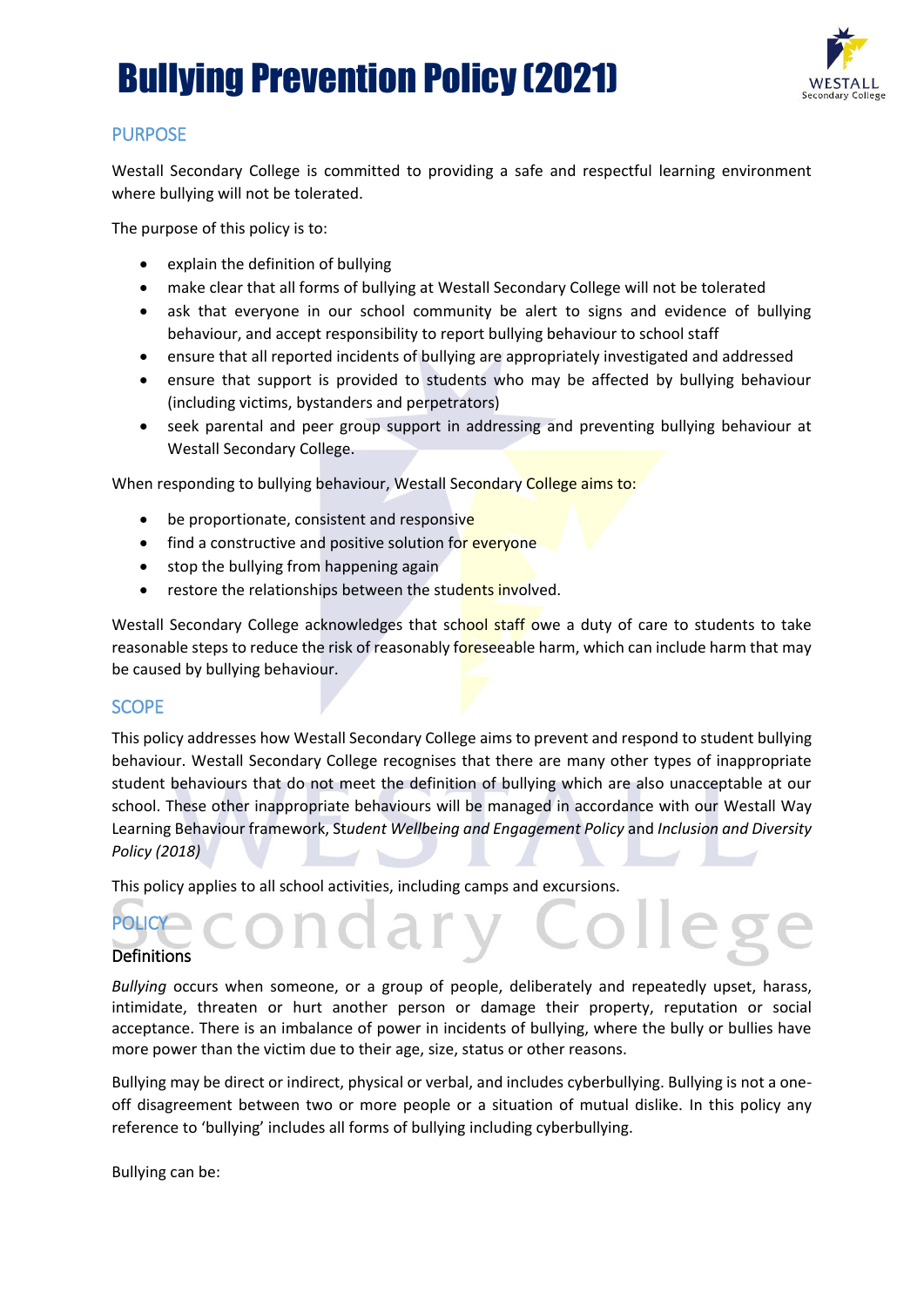

### PURPOSE

Westall Secondary College is committed to providing a safe and respectful learning environment where bullying will not be tolerated.

The purpose of this policy is to:

- explain the definition of bullying
- make clear that all forms of bullying at Westall Secondary College will not be tolerated
- ask that everyone in our school community be alert to signs and evidence of bullying behaviour, and accept responsibility to report bullying behaviour to school staff
- ensure that all reported incidents of bullying are appropriately investigated and addressed
- ensure that support is provided to students who may be affected by bullying behaviour (including victims, bystanders and perpetrators)
- seek parental and peer group support in addressing and preventing bullying behaviour at Westall Secondary College.

When responding to bullying behaviour, Westall Secondary College aims to:

- be proportionate, consistent and responsive
- find a constructive and positive solution for everyone
- stop the bullying from happening again
- restore the relationships between the students involved.

Westall Secondary College acknowledges that school staff owe a duty of care to students to take reasonable steps to reduce the risk of reasonably foreseeable harm, which can include harm that may be caused by bullying behaviour.

### SCOPE

This policy addresses how Westall Secondary College aims to prevent and respond to student bullying behaviour. Westall Secondary College recognises that there are many other types of inappropriate student behaviours that do not meet the definition of bullying which are also unacceptable at our school. These other inappropriate behaviours will be managed in accordance with our Westall Way Learning Behaviour framework, St*udent Wellbeing and Engagement Policy* and *Inclusion and Diversity Policy (2018)*

This policy applies to all school activities, including camps and excursions.

# **POLICY Definitions**

*Bullying* occurs when someone, or a group of people, deliberately and repeatedly upset, harass, intimidate, threaten or hurt another person or damage their property, reputation or social acceptance. There is an imbalance of power in incidents of bullying, where the bully or bullies have more power than the victim due to their age, size, status or other reasons.

Bullying may be direct or indirect, physical or verbal, and includes cyberbullying. Bullying is not a oneoff disagreement between two or more people or a situation of mutual dislike. In this policy any reference to 'bullying' includes all forms of bullying including cyberbullying.

Bullying can be: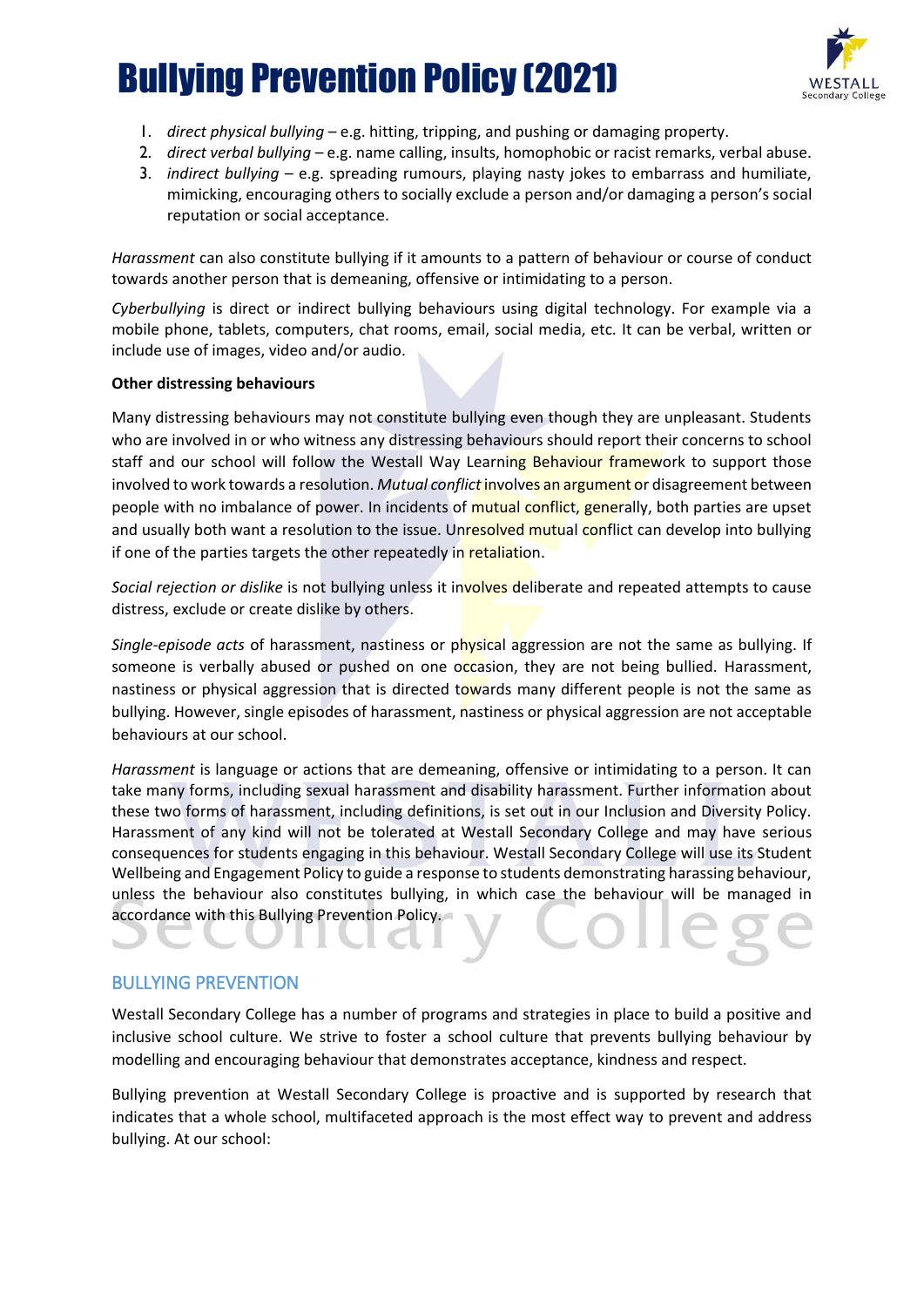

- 1. *direct physical bullying* e.g. hitting, tripping, and pushing or damaging property.
- 2. *direct verbal bullying* e.g. name calling, insults, homophobic or racist remarks, verbal abuse.
- 3. *indirect bullying* e.g. spreading rumours, playing nasty jokes to embarrass and humiliate, mimicking, encouraging others to socially exclude a person and/or damaging a person's social reputation or social acceptance.

*Harassment* can also constitute bullying if it amounts to a pattern of behaviour or course of conduct towards another person that is demeaning, offensive or intimidating to a person.

*Cyberbullying* is direct or indirect bullying behaviours using digital technology. For example via a mobile phone, tablets, computers, chat rooms, email, social media, etc. It can be verbal, written or include use of images, video and/or audio.

#### **Other distressing behaviours**

Many distressing behaviours may not constitute bullying even though they are unpleasant. Students who are involved in or who witness any distressing behaviours should report their concerns to school staff and our school will follow the Westall Way Learning Behaviour framework to support those involved to work towards a resolution. *Mutual conflict* involves an argument or disagreement between people with no imbalance of power. In incidents of mutual conflict, generally, both parties are upset and usually both want a resolution to the issue. Unresolved mutual conflict can develop into bullying if one of the parties targets the other repeatedly in retaliation.

*Social rejection or dislike* is not bullying unless it involves deliberate and repeated attempts to cause distress, exclude or create dislike by others.

*Single-episode acts* of harassment, nastiness or physical aggression are not the same as bullying. If someone is verbally abused or pushed on one occasion, they are not being bullied. Harassment, nastiness or physical aggression that is directed towards many different people is not the same as bullying. However, single episodes of harassment, nastiness or physical aggression are not acceptable behaviours at our school.

*Harassment* is language or actions that are demeaning, offensive or intimidating to a person. It can take many forms, including sexual harassment and disability harassment. Further information about these two forms of harassment, including definitions, is set out in our Inclusion and Diversity Policy. Harassment of any kind will not be tolerated at Westall Secondary College and may have serious consequences for students engaging in this behaviour. Westall Secondary College will use its Student Wellbeing and Engagement Policy to guide a response to students demonstrating harassing behaviour, unless the behaviour also constitutes bullying, in which case the behaviour will be managed in accordance with this Bullying Prevention Policy.

### BULLYING PREVENTION

Westall Secondary College has a number of programs and strategies in place to build a positive and inclusive school culture. We strive to foster a school culture that prevents bullying behaviour by modelling and encouraging behaviour that demonstrates acceptance, kindness and respect.

Bullying prevention at Westall Secondary College is proactive and is supported by research that indicates that a whole school, multifaceted approach is the most effect way to prevent and address bullying. At our school: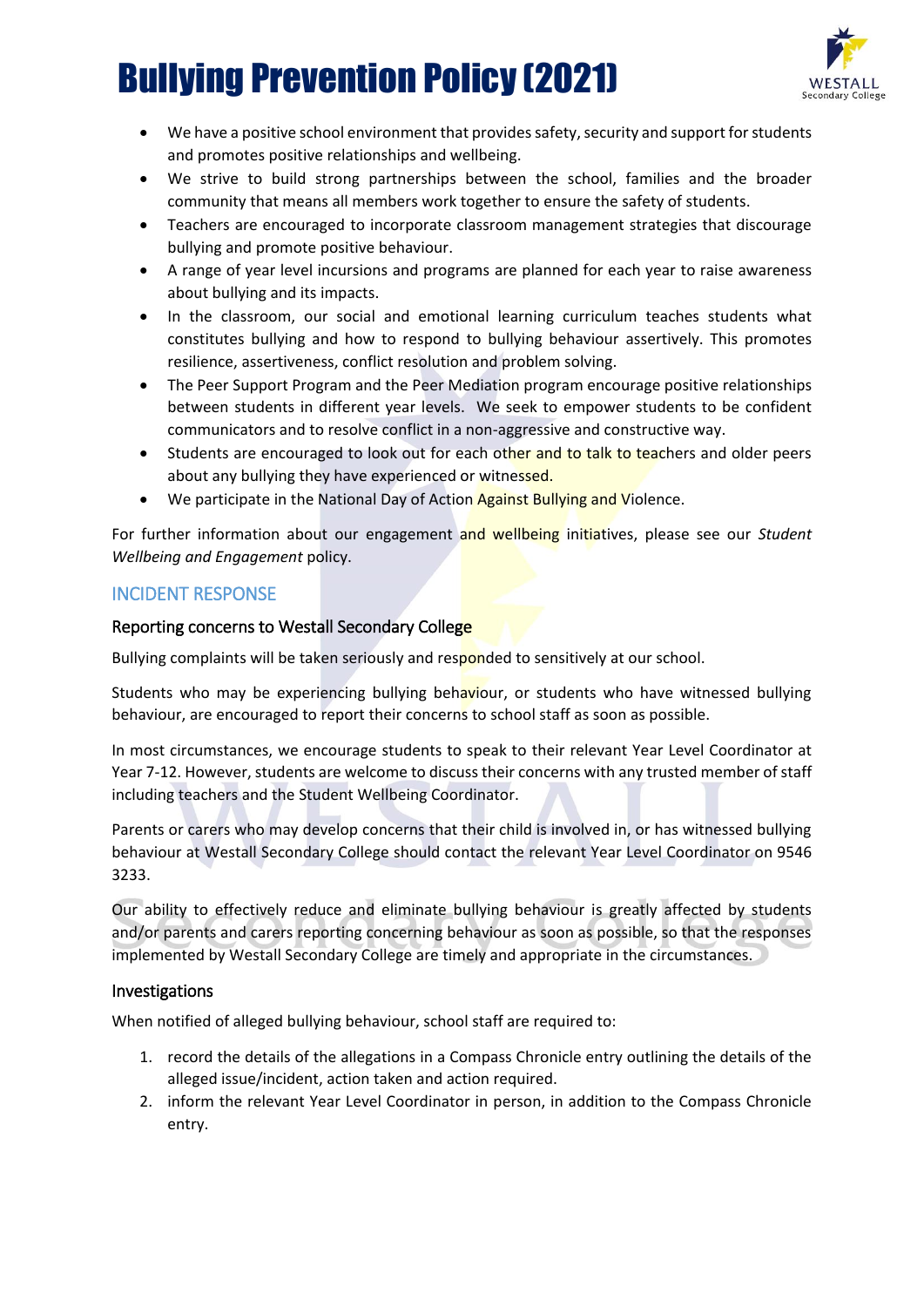

- We have a positive school environment that provides safety, security and support for students and promotes positive relationships and wellbeing.
- We strive to build strong partnerships between the school, families and the broader community that means all members work together to ensure the safety of students.
- Teachers are encouraged to incorporate classroom management strategies that discourage bullying and promote positive behaviour.
- A range of year level incursions and programs are planned for each year to raise awareness about bullying and its impacts.
- In the classroom, our social and emotional learning curriculum teaches students what constitutes bullying and how to respond to bullying behaviour assertively. This promotes resilience, assertiveness, conflict resolution and problem solving.
- The Peer Support Program and the Peer Mediation program encourage positive relationships between students in different year levels. We seek to empower students to be confident communicators and to resolve conflict in a non-aggressive and constructive way.
- Students are encouraged to look out for each other and to talk to teachers and older peers about any bullying they have experienced or witnessed.
- We participate in the National Day of Action Against Bullying and Violence.

For further information about our engagement and wellbeing initiatives, please see our *Student Wellbeing and Engagement* policy.

#### INCIDENT RESPONSE

#### Reporting concerns to Westall Secondary College

Bullying complaints will be taken seriously and responded to sensitively at our school.

Students who may be experiencing bullying behaviour, or students who have witnessed bullying behaviour, are encouraged to report their concerns to school staff as soon as possible.

In most circumstances, we encourage students to speak to their relevant Year Level Coordinator at Year 7-12. However, students are welcome to discuss their concerns with any trusted member of staff including teachers and the Student Wellbeing Coordinator.

Parents or carers who may develop concerns that their child is involved in, or has witnessed bullying behaviour at Westall Secondary College should contact the relevant Year Level Coordinator on 9546 3233.

Our ability to effectively reduce and eliminate bullying behaviour is greatly affected by students and/or parents and carers reporting concerning behaviour as soon as possible, so that the responses implemented by Westall Secondary College are timely and appropriate in the circumstances.

#### Investigations

When notified of alleged bullying behaviour, school staff are required to:

- 1. record the details of the allegations in a Compass Chronicle entry outlining the details of the alleged issue/incident, action taken and action required.
- 2. inform the relevant Year Level Coordinator in person, in addition to the Compass Chronicle entry.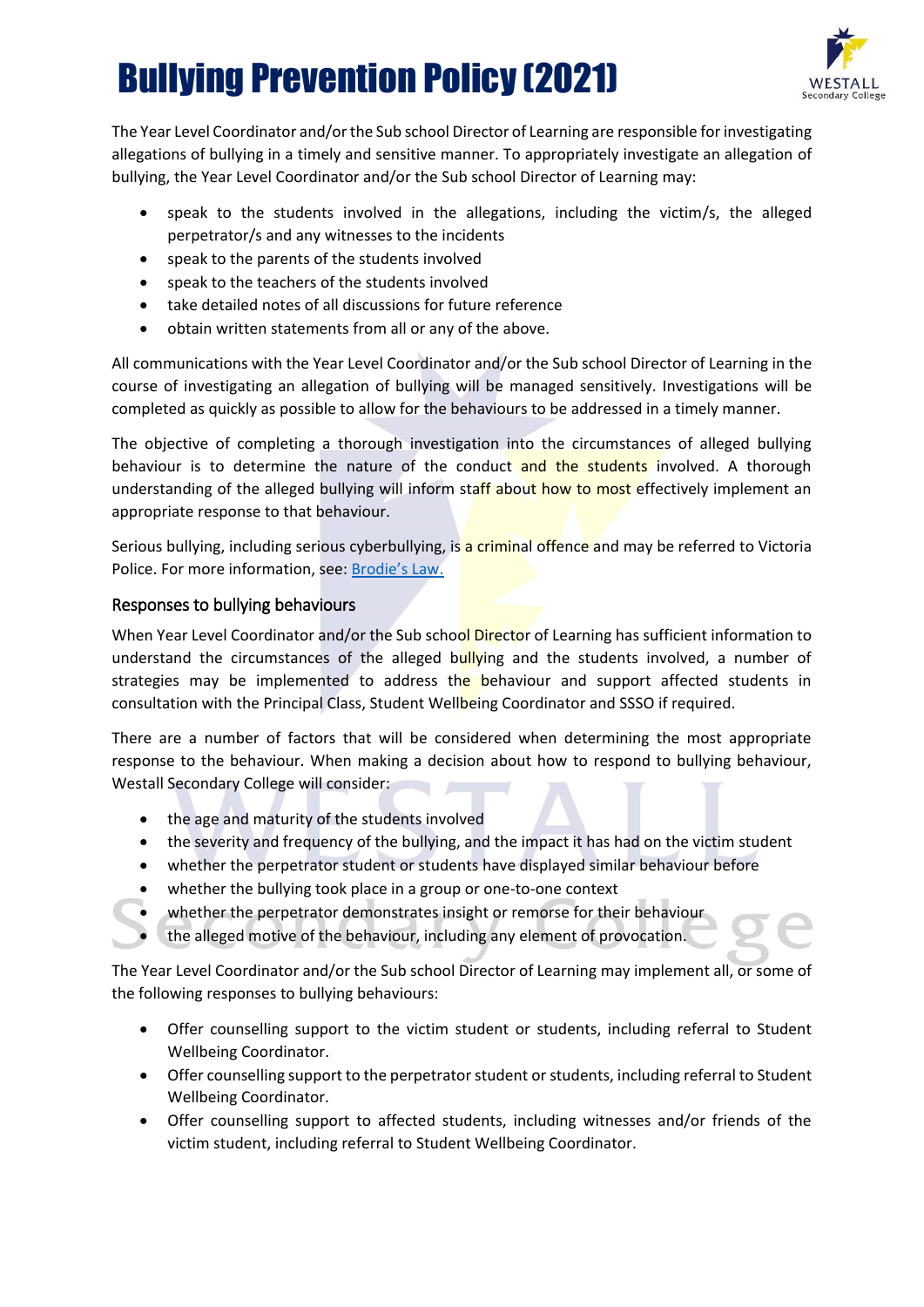

The Year Level Coordinator and/or the Sub school Director of Learning are responsible for investigating allegations of bullying in a timely and sensitive manner. To appropriately investigate an allegation of bullying, the Year Level Coordinator and/or the Sub school Director of Learning may:

- speak to the students involved in the allegations, including the victim/s, the alleged perpetrator/s and any witnesses to the incidents
- speak to the parents of the students involved
- speak to the teachers of the students involved
- take detailed notes of all discussions for future reference
- obtain written statements from all or any of the above.

All communications with the Year Level Coordinator and/or the Sub school Director of Learning in the course of investigating an allegation of bullying will be managed sensitively. Investigations will be completed as quickly as possible to allow for the behaviours to be addressed in a timely manner.

The objective of completing a thorough investigation into the circumstances of alleged bullying behaviour is to determine the nature of the conduct and the students involved. A thorough understanding of the alleged bullying will inform staff about how to most effectively implement an appropriate response to that behaviour.

Serious bullying, including serious cyberbullying, is a criminal offence and may be referred to Victoria Police. For more information, see: [Brodie's Law.](http://www.education.vic.gov.au/about/programs/bullystoppers/Pages/advicesheetbrodieslaw.aspx)

### Responses to bullying behaviours

When Year Level Coordinator and/or the Sub school Director of Learning has sufficient information to understand the circumstances of the alleged bullying and the students involved, a number of strategies may be implemented to address the behaviour and support affected students in consultation with the Principal Class, Student Wellbeing Coordinator and SSSO if required.

There are a number of factors that will be considered when determining the most appropriate response to the behaviour. When making a decision about how to respond to bullying behaviour, Westall Secondary College will consider:  $\Box$ 

- the age and maturity of the students involved
- the severity and frequency of the bullying, and the impact it has had on the victim student
- whether the perpetrator student or students have displayed similar behaviour before
- whether the bullying took place in a group or one-to-one context
- whether the perpetrator demonstrates insight or remorse for their behaviour
- the alleged motive of the behaviour, including any element of provocation.

The Year Level Coordinator and/or the Sub school Director of Learning may implement all, or some of the following responses to bullying behaviours:

- Offer counselling support to the victim student or students, including referral to Student Wellbeing Coordinator.
- Offer counselling support to the perpetrator student or students, including referral to Student Wellbeing Coordinator.
- Offer counselling support to affected students, including witnesses and/or friends of the victim student, including referral to Student Wellbeing Coordinator.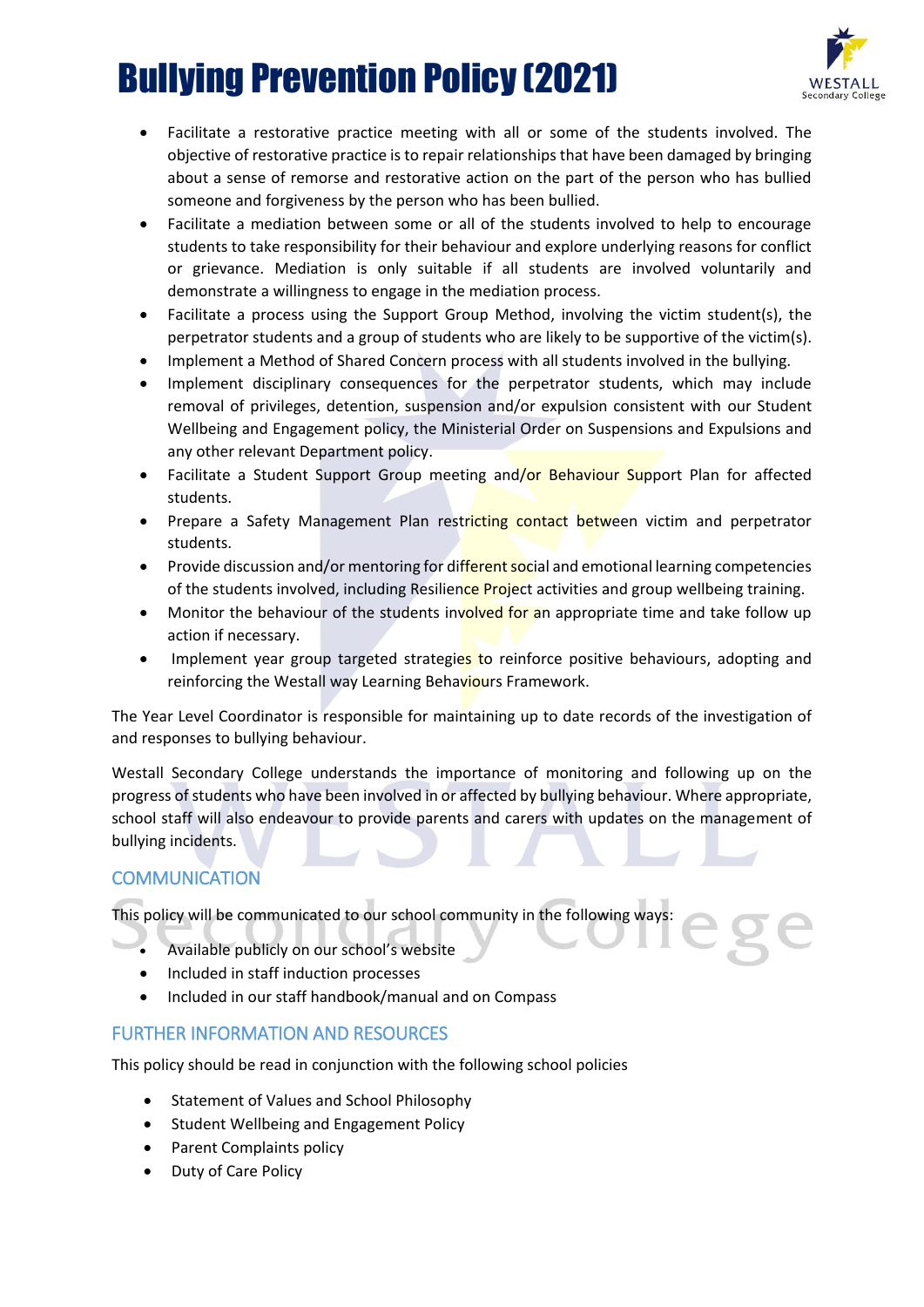

- Facilitate a restorative practice meeting with all or some of the students involved. The objective of restorative practice is to repair relationships that have been damaged by bringing about a sense of remorse and restorative action on the part of the person who has bullied someone and forgiveness by the person who has been bullied.
- Facilitate a mediation between some or all of the students involved to help to encourage students to take responsibility for their behaviour and explore underlying reasons for conflict or grievance. Mediation is only suitable if all students are involved voluntarily and demonstrate a willingness to engage in the mediation process.
- Facilitate a process using the Support Group Method, involving the victim student(s), the perpetrator students and a group of students who are likely to be supportive of the victim(s).
- Implement a Method of Shared Concern process with all students involved in the bullying.
- Implement disciplinary consequences for the perpetrator students, which may include removal of privileges, detention, suspension and/or expulsion consistent with our Student Wellbeing and Engagement policy, the Ministerial Order on Suspensions and Expulsions and any other relevant Department policy.
- Facilitate a Student Support Group meeting and/or Behaviour Support Plan for affected students.
- Prepare a Safety Management Plan restricting contact between victim and perpetrator students.
- Provide discussion and/or mentoring for different social and emotional learning competencies of the students involved, including Resilience Project activities and group wellbeing training.
- Monitor the behaviour of the students involved for an appropriate time and take follow up action if necessary.
- Implement year group targeted strategies to reinforce positive behaviours, adopting and reinforcing the Westall way Learning Behaviours Framework.

The Year Level Coordinator is responsible for maintaining up to date records of the investigation of and responses to bullying behaviour.

Westall Secondary College understands the importance of monitoring and following up on the progress of students who have been involved in or affected by bullying behaviour. Where appropriate, school staff will also endeavour to provide parents and carers with updates on the management of bullying incidents.

### **COMMUNICATION**

This policy will be communicated to our school community in the following ways:

- Available publicly on our school's website
- Included in staff induction processes
- Included in our staff handbook/manual and on Compass

### FURTHER INFORMATION AND RESOURCES

This policy should be read in conjunction with the following school policies

- Statement of Values and School Philosophy
- Student Wellbeing and Engagement Policy
- Parent Complaints policy
- Duty of Care Policy